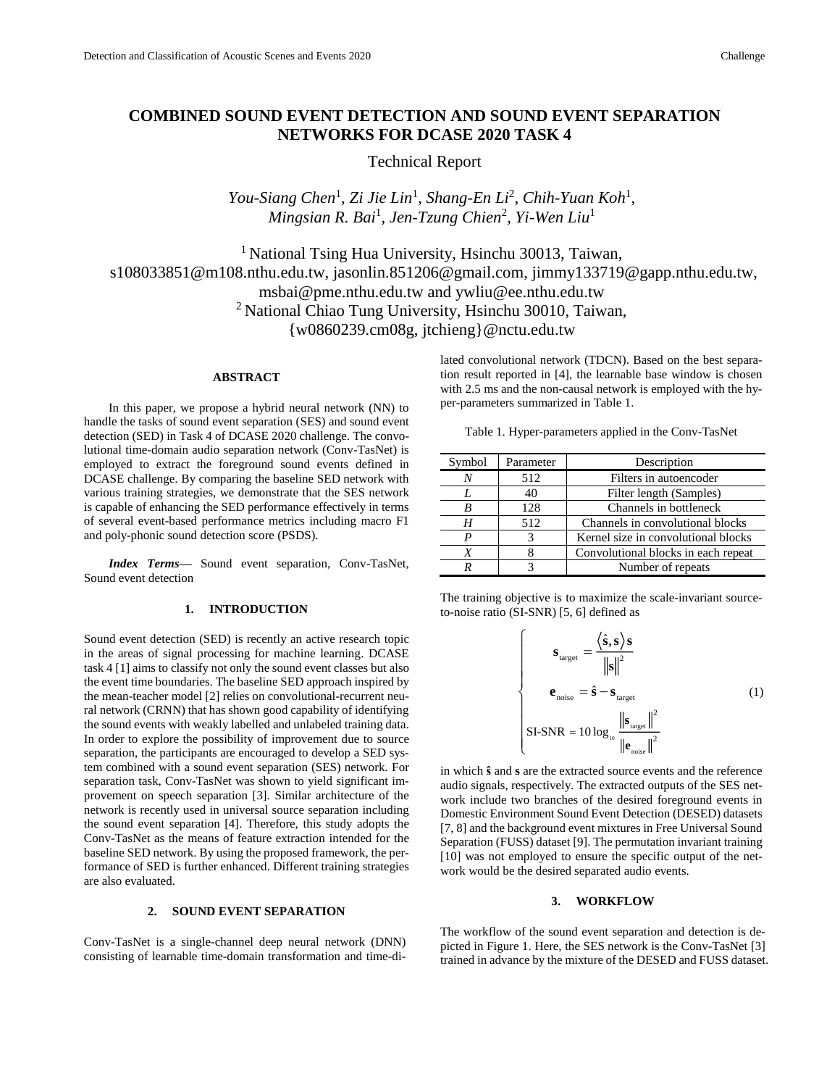# **COMBINED SOUND EVENT DETECTION AND SOUND EVENT SEPARATION NETWORKS FOR DCASE 2020 TASK 4**

Technical Report

You-Siang Chen<sup>1</sup>, Zi Jie Lin<sup>1</sup>, Shang-En Li<sup>2</sup>, Chih-Yuan Koh<sup>1</sup>, *Mingsian R. Bai*<sup>1</sup> , *Jen-Tzung Chien*<sup>2</sup> , *Yi-Wen Liu*<sup>1</sup>

<sup>1</sup> National Tsing Hua University, Hsinchu 30013, Taiwan, s108033851@m108.nthu.edu.tw, jasonlin.851206@gmail.com, jimmy133719@gapp.nthu.edu.tw, msbai@pme.nthu.edu.tw and ywliu@ee.nthu.edu.tw <sup>2</sup> National Chiao Tung University, Hsinchu 30010, Taiwan, {w0860239.cm08g, jtchieng}@nctu.edu.tw

# **ABSTRACT**

In this paper, we propose a hybrid neural network (NN) to handle the tasks of sound event separation (SES) and sound event detection (SED) in Task 4 of DCASE 2020 challenge. The convolutional time-domain audio separation network (Conv-TasNet) is employed to extract the foreground sound events defined in DCASE challenge. By comparing the baseline SED network with various training strategies, we demonstrate that the SES network is capable of enhancing the SED performance effectively in terms of several event-based performance metrics including macro F1 and poly-phonic sound detection score (PSDS).

*Index Terms—* Sound event separation, Conv-TasNet, Sound event detection

## **1. INTRODUCTION**

Sound event detection (SED) is recently an active research topic in the areas of signal processing for machine learning. DCASE task 4 [1] aims to classify not only the sound event classes but also the event time boundaries. The baseline SED approach inspired by the mean-teacher model [2] relies on convolutional-recurrent neural network (CRNN) that has shown good capability of identifying the sound events with weakly labelled and unlabeled training data. In order to explore the possibility of improvement due to source separation, the participants are encouraged to develop a SED system combined with a sound event separation (SES) network. For separation task, Conv-TasNet was shown to yield significant improvement on speech separation [3]. Similar architecture of the network is recently used in universal source separation including the sound event separation [4]. Therefore, this study adopts the Conv-TasNet as the means of feature extraction intended for the baseline SED network. By using the proposed framework, the performance of SED is further enhanced. Different training strategies are also evaluated.

## **2. SOUND EVENT SEPARATION**

Conv-TasNet is a single-channel deep neural network (DNN) consisting of learnable time-domain transformation and time-dilated convolutional network (TDCN). Based on the best separation result reported in [4], the learnable base window is chosen with 2.5 ms and the non-causal network is employed with the hyper-parameters summarized in Table 1.

| Symbol | Parameter | Description                         |  |  |
|--------|-----------|-------------------------------------|--|--|
|        | 512       | Filters in autoencoder              |  |  |
|        | 40        | Filter length (Samples)             |  |  |
| B      | 128       | Channels in bottleneck              |  |  |
| Н      | 512       | Channels in convolutional blocks    |  |  |
| P      | 3         | Kernel size in convolutional blocks |  |  |
| Х      |           | Convolutional blocks in each repeat |  |  |
|        |           | Number of repeats                   |  |  |

The training objective is to maximize the scale-invariant sourceto-noise ratio (SI-SNR) [5, 6] defined as

> ſ  $\overline{a}$  $\overline{\phantom{a}}$  $\overline{\phantom{a}}$ ∤  $\overline{a}$  $\overline{a}$  $\overline{ }$ l

$$
\mathbf{s}_{\text{target}} = \frac{\langle \hat{\mathbf{s}}, \mathbf{s} \rangle \mathbf{s}}{\|\mathbf{s}\|^2}
$$

$$
\mathbf{e}_{\text{noise}} = \hat{\mathbf{s}} - \mathbf{s}_{\text{target}}
$$
(1)  
SI-SNR = 10 log<sub>10</sub> 
$$
\frac{\|\mathbf{s}_{\text{target}}\|^2}{\|\mathbf{e}_{\text{noise}}\|^2}
$$

in which **ŝ** and **s** are the extracted source events and the reference audio signals, respectively. The extracted outputs of the SES network include two branches of the desired foreground events in Domestic Environment Sound Event Detection (DESED) datasets [7, 8] and the background event mixtures in Free Universal Sound Separation (FUSS) dataset [9]. The permutation invariant training [10] was not employed to ensure the specific output of the network would be the desired separated audio events.

#### **3. WORKFLOW**

The workflow of the sound event separation and detection is depicted in Figure 1. Here, the SES network is the Conv-TasNet [3] trained in advance by the mixture of the DESED and FUSS dataset.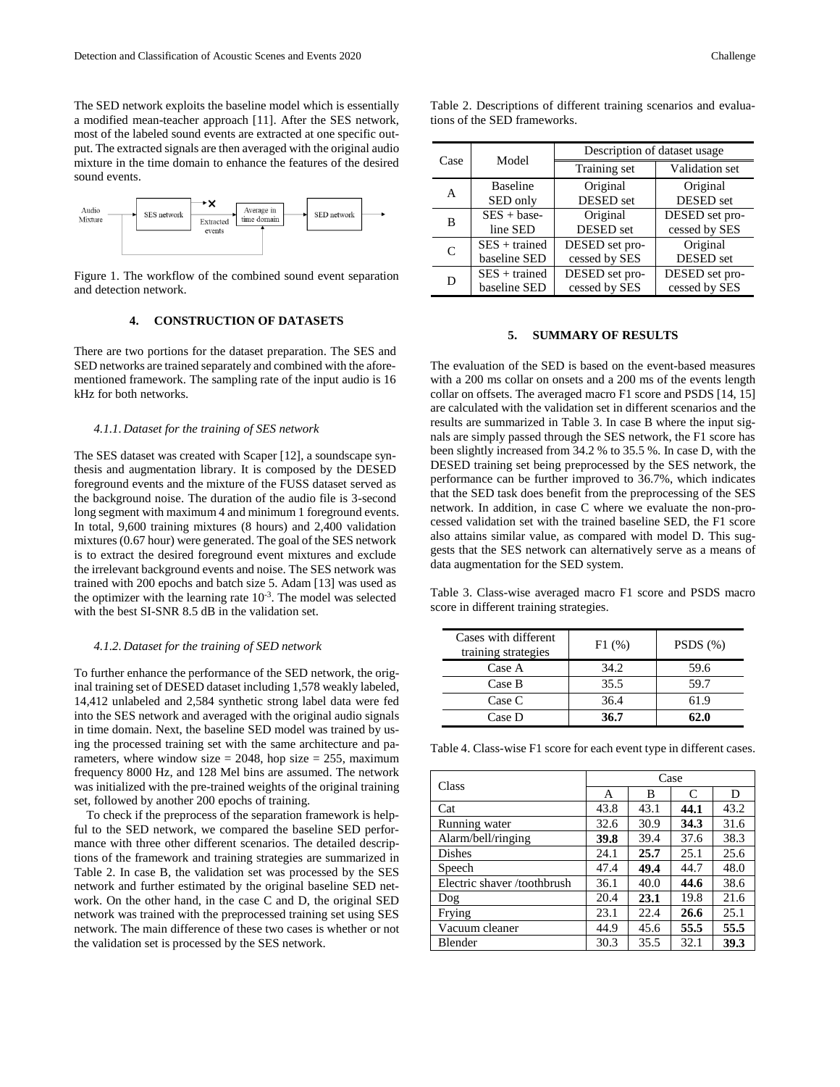The SED network exploits the baseline model which is essentially a modified mean-teacher approach [11]. After the SES network, most of the labeled sound events are extracted at one specific output. The extracted signals are then averaged with the original audio mixture in the time domain to enhance the features of the desired sound events.



Figure 1. The workflow of the combined sound event separation and detection network.

#### **4. CONSTRUCTION OF DATASETS**

There are two portions for the dataset preparation. The SES and SED networks are trained separately and combined with the aforementioned framework. The sampling rate of the input audio is 16 kHz for both networks.

#### *4.1.1.Dataset for the training of SES network*

The SES dataset was created with Scaper [12], a soundscape synthesis and augmentation library. It is composed by the DESED foreground events and the mixture of the FUSS dataset served as the background noise. The duration of the audio file is 3-second long segment with maximum 4 and minimum 1 foreground events. In total, 9,600 training mixtures (8 hours) and 2,400 validation mixtures (0.67 hour) were generated. The goal of the SES network is to extract the desired foreground event mixtures and exclude the irrelevant background events and noise. The SES network was trained with 200 epochs and batch size 5. Adam [13] was used as the optimizer with the learning rate  $10^{-3}$ . The model was selected with the best SI-SNR 8.5 dB in the validation set.

#### *4.1.2.Dataset for the training of SED network*

To further enhance the performance of the SED network, the original training set of DESED dataset including 1,578 weakly labeled, 14,412 unlabeled and 2,584 synthetic strong label data were fed into the SES network and averaged with the original audio signals in time domain. Next, the baseline SED model was trained by using the processed training set with the same architecture and parameters, where window size  $= 2048$ , hop size  $= 255$ , maximum frequency 8000 Hz, and 128 Mel bins are assumed. The network was initialized with the pre-trained weights of the original training set, followed by another 200 epochs of training.

To check if the preprocess of the separation framework is helpful to the SED network, we compared the baseline SED performance with three other different scenarios. The detailed descriptions of the framework and training strategies are summarized in Table 2. In case B, the validation set was processed by the SES network and further estimated by the original baseline SED network. On the other hand, in the case C and D, the original SED network was trained with the preprocessed training set using SES network. The main difference of these two cases is whether or not the validation set is processed by the SES network.

| Case | Model           | Description of dataset usage |                  |  |
|------|-----------------|------------------------------|------------------|--|
|      |                 | Training set                 | Validation set   |  |
| А    | <b>Baseline</b> | Original                     | Original         |  |
|      | SED only        | <b>DESED</b> set             | DESED set        |  |
| B    | $SES + base$    | Original                     | DESED set pro-   |  |
|      | line SED        | DESED set                    | cessed by SES    |  |
| C    | $SES + trained$ | DESED set pro-               | Original         |  |
|      | baseline SED    | cessed by SES                | <b>DESED</b> set |  |
| D    | $SES + trained$ | DESED set pro-               | DESED set pro-   |  |
|      | baseline SED    | cessed by SES                | cessed by SES    |  |

Table 2. Descriptions of different training scenarios and evaluations of the SED frameworks.

## **5. SUMMARY OF RESULTS**

The evaluation of the SED is based on the event-based measures with a 200 ms collar on onsets and a 200 ms of the events length collar on offsets. The averaged macro F1 score and PSDS [14, 15] are calculated with the validation set in different scenarios and the results are summarized in Table 3. In case B where the input signals are simply passed through the SES network, the F1 score has been slightly increased from 34.2 % to 35.5 %. In case D, with the DESED training set being preprocessed by the SES network, the performance can be further improved to 36.7%, which indicates that the SED task does benefit from the preprocessing of the SES network. In addition, in case C where we evaluate the non-processed validation set with the trained baseline SED, the F1 score also attains similar value, as compared with model D. This suggests that the SES network can alternatively serve as a means of data augmentation for the SED system.

Table 3. Class-wise averaged macro F1 score and PSDS macro score in different training strategies.

| Cases with different<br>training strategies | F1(%) | PSDS(%) |  |
|---------------------------------------------|-------|---------|--|
| Case A                                      | 34.2  | 59.6    |  |
| Case B                                      | 35.5  | 59.7    |  |
| Case C                                      | 36.4  | 61.9    |  |
| Case D                                      | 36.7  | 62.0    |  |

Table 4. Class-wise F1 score for each event type in different cases.

| Class                      | Case |      |      |      |
|----------------------------|------|------|------|------|
|                            | A    | В    | C    | D    |
| Cat                        | 43.8 | 43.1 | 44.1 | 43.2 |
| Running water              | 32.6 | 30.9 | 34.3 | 31.6 |
| Alarm/bell/ringing         | 39.8 | 39.4 | 37.6 | 38.3 |
| Dishes                     | 24.1 | 25.7 | 25.1 | 25.6 |
| Speech                     | 47.4 | 49.4 | 44.7 | 48.0 |
| Electric shaver/toothbrush | 36.1 | 40.0 | 44.6 | 38.6 |
| Dog                        | 20.4 | 23.1 | 19.8 | 21.6 |
| Frying                     | 23.1 | 22.4 | 26.6 | 25.1 |
| Vacuum cleaner             | 44.9 | 45.6 | 55.5 | 55.5 |
| Blender                    | 30.3 | 35.5 | 32.1 | 39.3 |